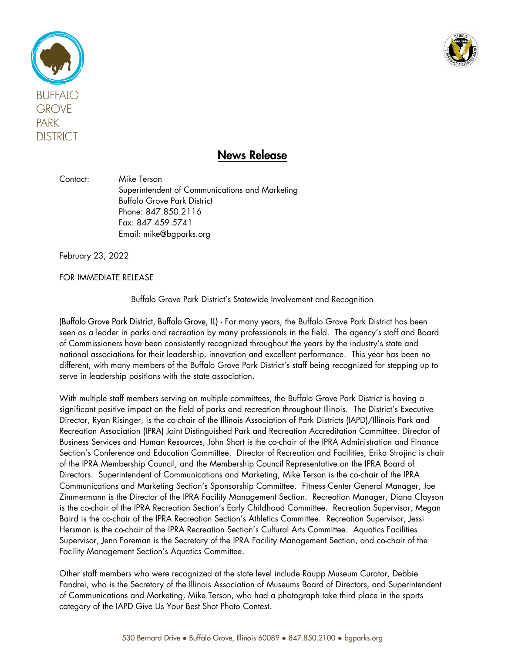



## News Release

Contact: Mike Terson Superintendent of Communications and Marketing Buffalo Grove Park District Phone: 847.850.2116 Fax: 847.459.5741 Email: mike@bgparks.org

February 23, 2022

FOR IMMEDIATE RELEASE

Buffalo Grove Park District's Statewide Involvement and Recognition

(Buffalo Grove Park District, Buffalo Grove, IL) - For many years, the Buffalo Grove Park District has been seen as a leader in parks and recreation by many professionals in the field. The agency's staff and Board of Commissioners have been consistently recognized throughout the years by the industry's state and national associations for their leadership, innovation and excellent performance. This year has been no different, with many members of the Buffalo Grove Park District's staff being recognized for stepping up to serve in leadership positions with the state association.

With multiple staff members serving on multiple committees, the Buffalo Grove Park District is having a significant positive impact on the field of parks and recreation throughout Illinois. The District's Executive Director, Ryan Risinger, is the co-chair of the Illinois Association of Park Districts (IAPD)/Illinois Park and Recreation Association (IPRA) Joint Distinguished Park and Recreation Accreditation Committee. Director of Business Services and Human Resources, John Short is the co-chair of the IPRA Administration and Finance Section's Conference and Education Committee. Director of Recreation and Facilities, Erika Strojinc is chair of the IPRA Membership Council, and the Membership Council Representative on the IPRA Board of Directors. Superintendent of Communications and Marketing, Mike Terson is the co-chair of the IPRA Communications and Marketing Section's Sponsorship Committee. Fitness Center General Manager, Joe Zimmermann is the Director of the IPRA Facility Management Section. Recreation Manager, Diana Clayson is the co-chair of the IPRA Recreation Section's Early Childhood Committee. Recreation Supervisor, Megan Baird is the co-chair of the IPRA Recreation Section's Athletics Committee. Recreation Supervisor, Jessi Hersman is the co-chair of the IPRA Recreation Section's Cultural Arts Committee. Aquatics Facilities Supervisor, Jenn Foreman is the Secretary of the IPRA Facility Management Section, and co-chair of the Facility Management Section's Aquatics Committee.

Other staff members who were recognized at the state level include Raupp Museum Curator, Debbie Fandrei, who is the Secretary of the Illinois Association of Museums Board of Directors, and Superintendent of Communications and Marketing, Mike Terson, who had a photograph take third place in the sports category of the IAPD Give Us Your Best Shot Photo Contest.